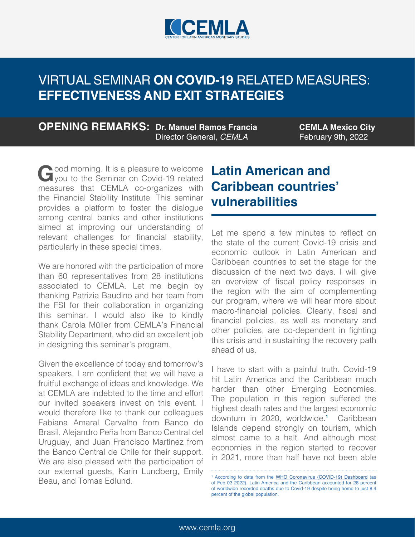

**OPENING REMARKS: Dr. Manuel Ramos Francia** Director General, *CEMLA*

**CEMLA Mexico City** February 9th, 2022

Good morning. It is a pleasure to welcome<br>
you to the Seminar on Covid-19 related<br>
measures, that, CEMLA, as arganizes, with measures that CEMLA co-organizes with the Financial Stability Institute. This seminar provides a platform to foster the dialogue among central banks and other institutions aimed at improving our understanding of relevant challenges for financial stability, particularly in these special times.

We are honored with the participation of more than 60 representatives from 28 institutions associated to CEMLA. Let me begin by thanking Patrizia Baudino and her team from the FSI for their collaboration in organizing this seminar. I would also like to kindly thank Carola Müller from CEMLA's Financial Stability Department, who did an excellent job in designing this seminar's program.

Given the excellence of today and tomorrow's speakers, I am confident that we will have a fruitful exchange of ideas and knowledge. We at CEMLA are indebted to the time and effort our invited speakers invest on this event. I would therefore like to thank our colleagues Fabiana Amaral Carvalho from Banco do Brasil, Alejandro Peña from Banco Central del Uruguay, and Juan Francisco Martínez from the Banco Central de Chile for their support. We are also pleased with the participation of our external guests, Karin Lundberg, Emily Beau, and Tomas Edlund. <sup>1</sup>

## **Latin American and Caribbean countries' vulnerabilities**

Let me spend a few minutes to reflect on the state of the current Covid-19 crisis and economic outlook in Latin American and Caribbean countries to set the stage for the discussion of the next two days. I will give an overview of fiscal policy responses in the region with the aim of complementing our program, where we will hear more about macro-financial policies. Clearly, fiscal and financial policies, as well as monetary and other policies, are co-dependent in fighting this crisis and in sustaining the recovery path ahead of us.

I have to start with a painful truth. Covid-19 hit Latin America and the Caribbean much harder than other Emerging Economies. The population in this region suffered the highest death rates and the largest economic downturn in 2020, worldwide.**<sup>1</sup>** Caribbean Islands depend strongly on tourism, which almost came to a halt. And although most economies in the region started to recover in 2021, more than half have not been able

<sup>&</sup>lt;sup>1</sup> According to data from the [WHO Coronavirus \(COVID-19\) Dashboard](https://covid19.who.int/) (as of Feb 03 2022), Latin America and the Caribbean accounted for 28 percent of worldwide recorded deaths due to Covid-19 despite being home to just 8.4 percent of the global population.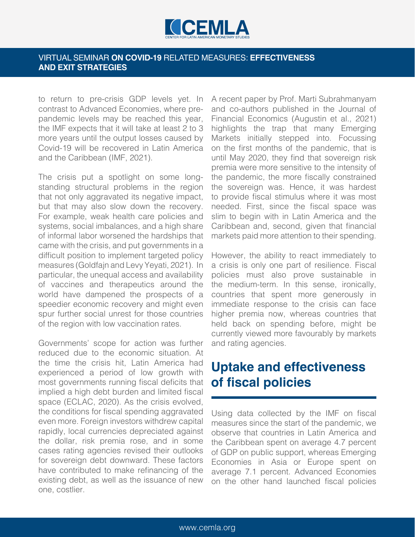

to return to pre-crisis GDP levels yet. In contrast to Advanced Economies, where prepandemic levels may be reached this year, the IMF expects that it will take at least 2 to 3 more years until the output losses caused by Covid-19 will be recovered in Latin America and the Caribbean (IMF, 2021).

The crisis put a spotlight on some longstanding structural problems in the region that not only aggravated its negative impact, but that may also slow down the recovery. For example, weak health care policies and systems, social imbalances, and a high share of informal labor worsened the hardships that came with the crisis, and put governments in a difficult position to implement targeted policy measures (Goldfajn and Levy Yeyati, 2021). In particular, the unequal access and availability of vaccines and therapeutics around the world have dampened the prospects of a speedier economic recovery and might even spur further social unrest for those countries of the region with low vaccination rates.

Governments' scope for action was further reduced due to the economic situation. At the time the crisis hit, Latin America had experienced a period of low growth with most governments running fiscal deficits that implied a high debt burden and limited fiscal space (ECLAC, 2020). As the crisis evolved, the conditions for fiscal spending aggravated even more. Foreign investors withdrew capital rapidly, local currencies depreciated against the dollar, risk premia rose, and in some cases rating agencies revised their outlooks for sovereign debt downward. These factors have contributed to make refinancing of the existing debt, as well as the issuance of new one, costlier.

A recent paper by Prof. Marti Subrahmanyam and co-authors published in the Journal of Financial Economics (Augustin et al., 2021) highlights the trap that many Emerging Markets initially stepped into. Focussing on the first months of the pandemic, that is until May 2020, they find that sovereign risk premia were more sensitive to the intensity of the pandemic, the more fiscally constrained the sovereign was. Hence, it was hardest to provide fiscal stimulus where it was most needed. First, since the fiscal space was slim to begin with in Latin America and the Caribbean and, second, given that financial markets paid more attention to their spending.

However, the ability to react immediately to a crisis is only one part of resilience. Fiscal policies must also prove sustainable in the medium-term. In this sense, ironically, countries that spent more generously in immediate response to the crisis can face higher premia now, whereas countries that held back on spending before, might be currently viewed more favourably by markets and rating agencies.

### **Uptake and effectiveness of fiscal policies**

Using data collected by the IMF on fiscal measures since the start of the pandemic, we observe that countries in Latin America and the Caribbean spent on average 4.7 percent of GDP on public support, whereas Emerging Economies in Asia or Europe spent on average 7.1 percent. Advanced Economies on the other hand launched fiscal policies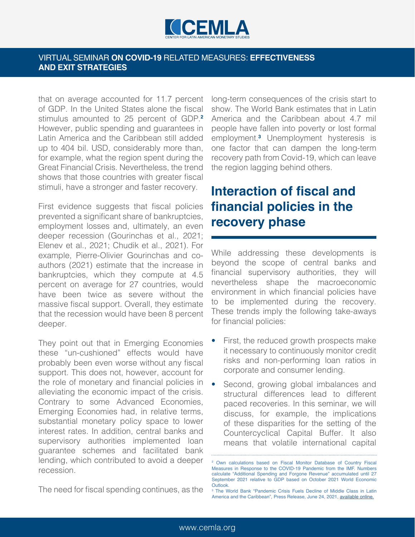

that on average accounted for 11.7 percent of GDP. In the United States alone the fiscal stimulus amounted to 25 percent of GDP.**<sup>2</sup>** However, public spending and guarantees in Latin America and the Caribbean still added up to 404 bil. USD, considerably more than, for example, what the region spent during the Great Financial Crisis. Nevertheless, the trend shows that those countries with greater fiscal stimuli, have a stronger and faster recovery.

First evidence suggests that fiscal policies prevented a significant share of bankruptcies, employment losses and, ultimately, an even deeper recession (Gourinchas et al., 2021; Elenev et al., 2021; Chudik et al., 2021). For example, Pierre-Olivier Gourinchas and coauthors (2021) estimate that the increase in bankruptcies, which they compute at 4.5 percent on average for 27 countries, would have been twice as severe without the massive fiscal support. Overall, they estimate that the recession would have been 8 percent deeper.

They point out that in Emerging Economies these "un-cushioned" effects would have probably been even worse without any fiscal support. This does not, however, account for the role of monetary and financial policies in alleviating the economic impact of the crisis. Contrary to some Advanced Economies, Emerging Economies had, in relative terms, substantial monetary policy space to lower interest rates. In addition, central banks and supervisory authorities implemented loan guarantee schemes and facilitated bank lending, which contributed to avoid a deeper recession.

long-term consequences of the crisis start to show. The World Bank estimates that in Latin America and the Caribbean about 4.7 mil people have fallen into poverty or lost formal employment.**<sup>3</sup>** Unemployment hysteresis is one factor that can dampen the long-term recovery path from Covid-19, which can leave the region lagging behind others.

# **Interaction of fiscal and financial policies in the recovery phase**

While addressing these developments is beyond the scope of central banks and financial supervisory authorities, they will nevertheless shape the macroeconomic environment in which financial policies have to be implemented during the recovery. These trends imply the following take-aways for financial policies:

- First, the reduced growth prospects make it necessary to continuously monitor credit risks and non-performing loan ratios in corporate and consumer lending.
- Second, growing global imbalances and structural differences lead to different paced recoveries. In this seminar, we will discuss, for example, the implications of these disparities for the setting of the Countercyclical Capital Buffer. It also means that volatile international capital

The need for fiscal spending continues, as the

<sup>2</sup> Own calculations based on Fiscal Monitor Database of Country Fiscal Measures in Response to the COVID-19 Pandemic from the IMF. Numbers calculate "Additional Spending and Forgone Revenue" accumulated until 27 September 2021 relative to GDP based on October 2021 World Economic Outlook.

<sup>3</sup> The World Bank "Pandemic Crisis Fuels Decline of Middle Class in Latin America and the Caribbean", Press Release, June 24, 2021, [available online.](https://www.worldbank.org/en/news/press-release/2021/06/24/pandemic-crisis-fuels-decline-of-middle-class-LAC)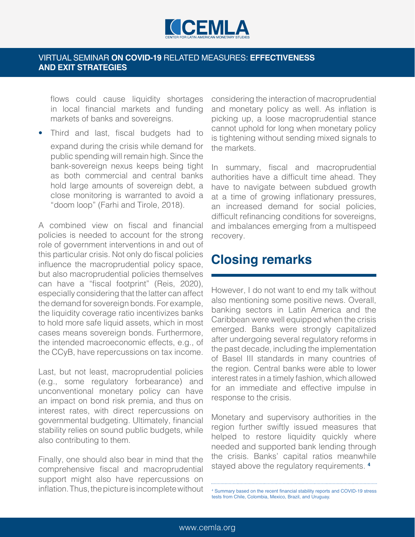

flows could cause liquidity shortages in local financial markets and funding markets of banks and sovereigns.

• Third and last, fiscal budgets had to expand during the crisis while demand for public spending will remain high. Since the bank-sovereign nexus keeps being tight as both commercial and central banks hold large amounts of sovereign debt, a close monitoring is warranted to avoid a "doom loop" (Farhi and Tirole, 2018).

A combined view on fiscal and financial policies is needed to account for the strong role of government interventions in and out of this particular crisis. Not only do fiscal policies influence the macroprudential policy space, but also macroprudential policies themselves can have a "fiscal footprint" (Reis, 2020), especially considering that the latter can affect the demand for sovereign bonds. For example, the liquidity coverage ratio incentivizes banks to hold more safe liquid assets, which in most cases means sovereign bonds. Furthermore, the intended macroeconomic effects, e.g., of the CCyB, have repercussions on tax income.

Last, but not least, macroprudential policies (e.g., some regulatory forbearance) and unconventional monetary policy can have an impact on bond risk premia, and thus on interest rates, with direct repercussions on governmental budgeting. Ultimately, financial stability relies on sound public budgets, while also contributing to them.

Finally, one should also bear in mind that the comprehensive fiscal and macroprudential support might also have repercussions on inflation. Thus, the picture is incomplete without considering the interaction of macroprudential and monetary policy as well. As inflation is picking up, a loose macroprudential stance cannot uphold for long when monetary policy is tightening without sending mixed signals to the markets.

In summary, fiscal and macroprudential authorities have a difficult time ahead. They have to navigate between subdued growth at a time of growing inflationary pressures, an increased demand for social policies, difficult refinancing conditions for sovereigns, and imbalances emerging from a multispeed recovery.

### **Closing remarks**

However, I do not want to end my talk without also mentioning some positive news. Overall, banking sectors in Latin America and the Caribbean were well equipped when the crisis emerged. Banks were strongly capitalized after undergoing several regulatory reforms in the past decade, including the implementation of Basel III standards in many countries of the region. Central banks were able to lower interest rates in a timely fashion, which allowed for an immediate and effective impulse in response to the crisis.

Monetary and supervisory authorities in the region further swiftly issued measures that helped to restore liquidity quickly where needed and supported bank lending through the crisis. Banks' capital ratios meanwhile stayed above the regulatory requirements. **<sup>4</sup>**

4 Summary based on the recent financial stability reports and COVID-19 stress tests from Chile, Colombia, Mexico, Brazil, and Uruguay.